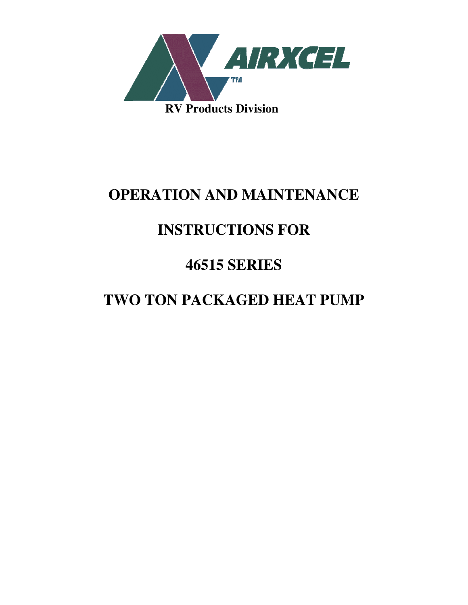

## **OPERATION AND MAINTENANCE**

# **INSTRUCTIONS FOR**

# **46515 SERIES**

# **TWO TON PACKAGED HEAT PUMP**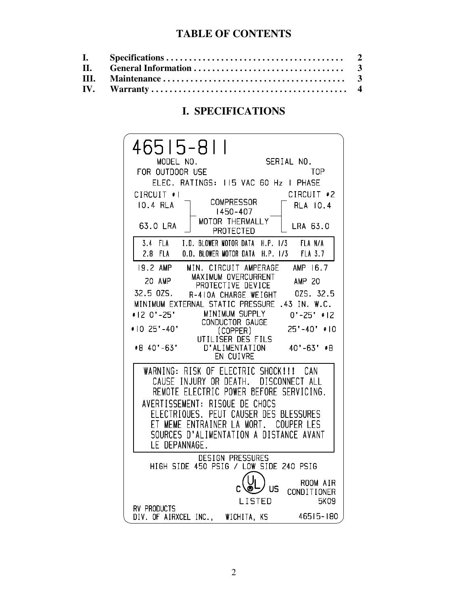### **TABLE OF CONTENTS**

### **I. SPECIFICATIONS**

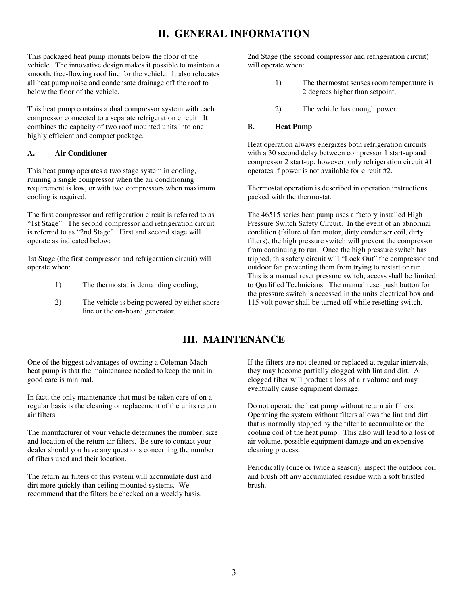### **II. GENERAL INFORMATION**

This packaged heat pump mounts below the floor of the vehicle. The innovative design makes it possible to maintain a smooth, free-flowing roof line for the vehicle. It also relocates all heat pump noise and condensate drainage off the roof to below the floor of the vehicle.

This heat pump contains a dual compressor system with each compressor connected to a separate refrigeration circuit. It combines the capacity of two roof mounted units into one highly efficient and compact package.

### **A. Air Conditioner**

This heat pump operates a two stage system in cooling, running a single compressor when the air conditioning requirement is low, or with two compressors when maximum cooling is required.

The first compressor and refrigeration circuit is referred to as "1st Stage". The second compressor and refrigeration circuit is referred to as "2nd Stage". First and second stage will operate as indicated below:

1st Stage (the first compressor and refrigeration circuit) will operate when:

- 1) The thermostat is demanding cooling,
- 2) The vehicle is being powered by either shore line or the on-board generator.

2nd Stage (the second compressor and refrigeration circuit) will operate when:

- 1) The thermostat senses room temperature is 2 degrees higher than setpoint,
- 2) The vehicle has enough power.

### **B. Heat Pump**

Heat operation always energizes both refrigeration circuits with a 30 second delay between compressor 1 start-up and compressor 2 start-up, however; only refrigeration circuit #1 operates if power is not available for circuit #2.

Thermostat operation is described in operation instructions packed with the thermostat.

The 46515 series heat pump uses a factory installed High Pressure Switch Safety Circuit. In the event of an abnormal condition (failure of fan motor, dirty condenser coil, dirty filters), the high pressure switch will prevent the compressor from continuing to run. Once the high pressure switch has tripped, this safety circuit will "Lock Out" the compressor and outdoor fan preventing them from trying to restart or run. This is a manual reset pressure switch, access shall be limited to Qualified Technicians. The manual reset push button for the pressure switch is accessed in the units electrical box and 115 volt power shall be turned off while resetting switch.

## **III. MAINTENANCE**

One of the biggest advantages of owning a Coleman-Mach heat pump is that the maintenance needed to keep the unit in good care is minimal.

In fact, the only maintenance that must be taken care of on a regular basis is the cleaning or replacement of the units return air filters.

The manufacturer of your vehicle determines the number, size and location of the return air filters. Be sure to contact your dealer should you have any questions concerning the number of filters used and their location.

The return air filters of this system will accumulate dust and dirt more quickly than ceiling mounted systems. We recommend that the filters be checked on a weekly basis.

If the filters are not cleaned or replaced at regular intervals, they may become partially clogged with lint and dirt. A clogged filter will product a loss of air volume and may eventually cause equipment damage.

Do not operate the heat pump without return air filters. Operating the system without filters allows the lint and dirt that is normally stopped by the filter to accumulate on the cooling coil of the heat pump. This also will lead to a loss of air volume, possible equipment damage and an expensive cleaning process.

Periodically (once or twice a season), inspect the outdoor coil and brush off any accumulated residue with a soft bristled brush.